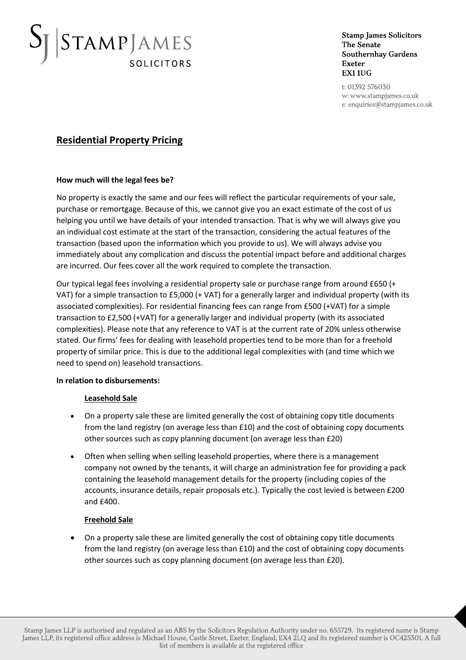# STAMPJAMES **SOLICITORS**

**Stamp James Solicitors** The Senate **Southernhay Gardens Exeter** EX1 1UG

t: 01392 576030 w: www.stampjames.co.uk e: enquiries@stampjames.co.uk

### **Residential Property Pricing**

### **How much will the legal fees be?**

No property is exactly the same and our fees will reflect the particular requirements of your sale, purchase or remortgage. Because of this, we cannot give you an exact estimate of the cost of us helping you until we have details of your intended transaction. That is why we will always give you an individual cost estimate at the start of the transaction, considering the actual features of the transaction (based upon the information which you provide to us). We will always advise you immediately about any complication and discuss the potential impact before and additional charges are incurred. Our fees cover all the work required to complete the transaction.

Our typical legal fees involving a residential property sale or purchase range from around £650 (+ VAT) for a simple transaction to £5,000 (+ VAT) for a generally larger and individual property (with its associated complexities). For residential financing fees can range from £500 (+VAT) for a simple transaction to £2,500 (+VAT) for a generally larger and individual property (with its associated complexities). Please note that any reference to VAT is at the current rate of 20% unless otherwise stated. Our firms' fees for dealing with leasehold properties tend to be more than for a freehold property of similar price. This is due to the additional legal complexities with (and time which we need to spend on) leasehold transactions.

### **In relation to disbursements:**

### **Leasehold Sale**

- On a property sale these are limited generally the cost of obtaining copy title documents from the land registry (on average less than £10) and the cost of obtaining copy documents other sources such as copy planning document (on average less than £20)
- Often when selling when selling leasehold properties, where there is a management company not owned by the tenants, it will charge an administration fee for providing a pack containing the leasehold management details for the property (including copies of the accounts, insurance details, repair proposals etc.). Typically the cost levied is between £200 and £400.

### **Freehold Sale**

• On a property sale these are limited generally the cost of obtaining copy title documents from the land registry (on average less than £10) and the cost of obtaining copy documents other sources such as copy planning document (on average less than £20).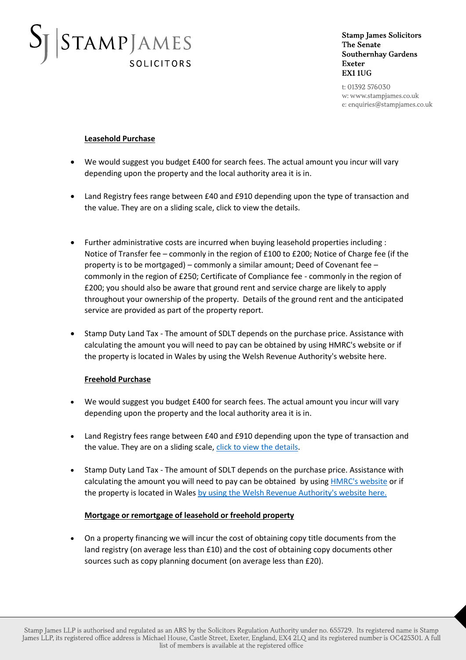# STAMPJAMES **SOLICITORS**

**Stamp James Solicitors** The Senate **Southernhay Gardens Exeter** EX1 1UG

t: 01392 576030 w: www.stampjames.co.uk e: enquiries@stampjames.co.uk

### **Leasehold Purchase**

- We would suggest you budget £400 for search fees. The actual amount you incur will vary depending upon the property and the local authority area it is in.
- Land Registry fees range between £40 and £910 depending upon the type of transaction and the value. They are on a sliding scale, click to view the details.
- Further administrative costs are incurred when buying leasehold properties including : Notice of Transfer fee – commonly in the region of £100 to £200; Notice of Charge fee (if the property is to be mortgaged) – commonly a similar amount; Deed of Covenant fee – commonly in the region of £250; Certificate of Compliance fee - commonly in the region of £200; you should also be aware that ground rent and service charge are likely to apply throughout your ownership of the property. Details of the ground rent and the anticipated service are provided as part of the property report.
- Stamp Duty Land Tax The amount of SDLT depends on the purchase price. Assistance with calculating the amount you will need to pay can be obtained by using HMRC's website or if the property is located in Wales by using the Welsh Revenue Authority's website here.

### **Freehold Purchase**

- We would suggest you budget £400 for search fees. The actual amount you incur will vary depending upon the property and the local authority area it is in.
- Land Registry fees range between £40 and £910 depending upon the type of transaction and the value. They are on a sliding scale, [click to view the details.](https://www.gov.uk/guidance/hm-land-registry-registration-services-fees)
- Stamp Duty Land Tax The amount of SDLT depends on the purchase price. Assistance with calculating the amount you will need to pay can be obtained by using [HMRC's website](https://www.tax.service.gov.uk/calculate-stamp-duty-land-tax/#/intro) or if the property is located in Wale[s by using the Welsh Revenue Authority's website here.](https://beta.gov.wales/land-transaction-tax-calculator)

### **Mortgage or remortgage of leasehold or freehold property**

• On a property financing we will incur the cost of obtaining copy title documents from the land registry (on average less than £10) and the cost of obtaining copy documents other sources such as copy planning document (on average less than £20).